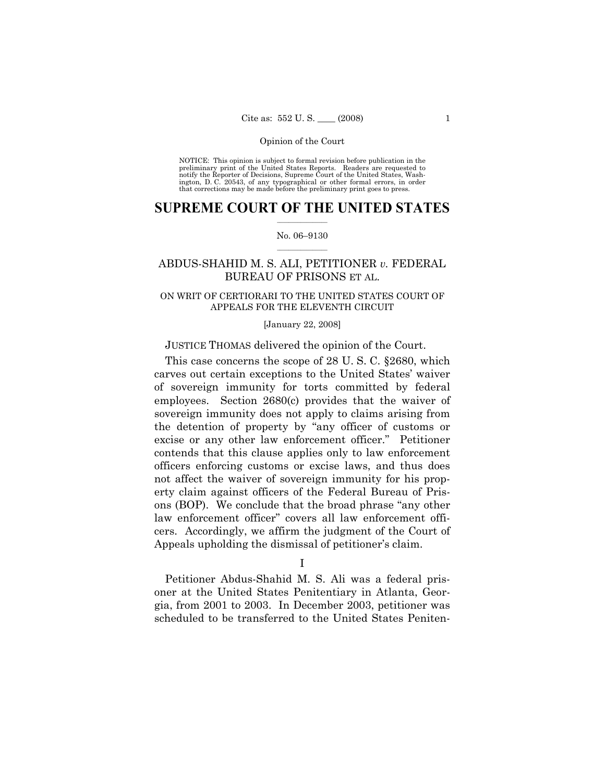NOTICE: This opinion is subject to formal revision before publication in the preliminary print of the United States Reports. Readers are requested to notify the Reporter of Decisions, Supreme Court of the United States, Washington, D. C. 20543, of any typographical or other formal errors, in order that corrections may be made before the preliminary print goes to press.

# **SUPREME COURT OF THE UNITED STATES**  $\frac{1}{2}$  ,  $\frac{1}{2}$  ,  $\frac{1}{2}$  ,  $\frac{1}{2}$  ,  $\frac{1}{2}$  ,  $\frac{1}{2}$  ,  $\frac{1}{2}$

### No. 06–9130  $\frac{1}{2}$  ,  $\frac{1}{2}$  ,  $\frac{1}{2}$  ,  $\frac{1}{2}$  ,  $\frac{1}{2}$  ,  $\frac{1}{2}$

# ABDUS-SHAHID M. S. ALI, PETITIONER *v.* FEDERAL BUREAU OF PRISONS ET AL.

# ON WRIT OF CERTIORARI TO THE UNITED STATES COURT OF APPEALS FOR THE ELEVENTH CIRCUIT

#### [January 22, 2008]

# JUSTICE THOMAS delivered the opinion of the Court.

 This case concerns the scope of 28 U. S. C. §2680, which carves out certain exceptions to the United States' waiver of sovereign immunity for torts committed by federal employees. Section 2680(c) provides that the waiver of sovereign immunity does not apply to claims arising from the detention of property by "any officer of customs or excise or any other law enforcement officer." Petitioner contends that this clause applies only to law enforcement officers enforcing customs or excise laws, and thus does not affect the waiver of sovereign immunity for his property claim against officers of the Federal Bureau of Prisons (BOP). We conclude that the broad phrase "any other law enforcement officer" covers all law enforcement officers. Accordingly, we affirm the judgment of the Court of Appeals upholding the dismissal of petitioner's claim.

I

 Petitioner Abdus-Shahid M. S. Ali was a federal prisoner at the United States Penitentiary in Atlanta, Georgia, from 2001 to 2003. In December 2003, petitioner was scheduled to be transferred to the United States Peniten-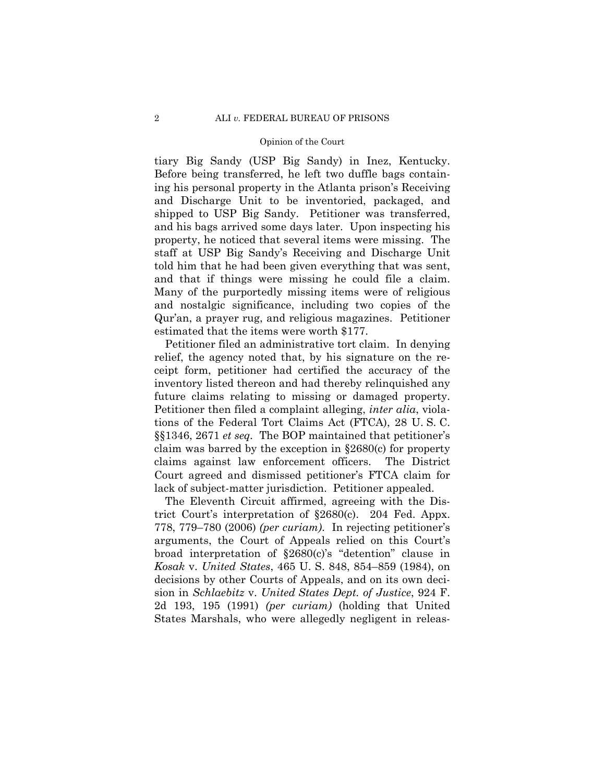tiary Big Sandy (USP Big Sandy) in Inez, Kentucky. Before being transferred, he left two duffle bags containing his personal property in the Atlanta prison's Receiving and Discharge Unit to be inventoried, packaged, and shipped to USP Big Sandy. Petitioner was transferred, and his bags arrived some days later. Upon inspecting his property, he noticed that several items were missing. The staff at USP Big Sandy's Receiving and Discharge Unit told him that he had been given everything that was sent, and that if things were missing he could file a claim. Many of the purportedly missing items were of religious and nostalgic significance, including two copies of the Qur'an, a prayer rug, and religious magazines. Petitioner estimated that the items were worth \$177.

 Petitioner filed an administrative tort claim. In denying relief, the agency noted that, by his signature on the receipt form, petitioner had certified the accuracy of the inventory listed thereon and had thereby relinquished any future claims relating to missing or damaged property. Petitioner then filed a complaint alleging, *inter alia*, violations of the Federal Tort Claims Act (FTCA), 28 U. S. C. §§1346, 2671 *et seq.* The BOP maintained that petitioner's claim was barred by the exception in §2680(c) for property claims against law enforcement officers. The District Court agreed and dismissed petitioner's FTCA claim for lack of subject-matter jurisdiction. Petitioner appealed.

 The Eleventh Circuit affirmed, agreeing with the District Court's interpretation of §2680(c). 204 Fed. Appx. 778, 779–780 (2006) *(per curiam)*. In rejecting petitioner's arguments, the Court of Appeals relied on this Court's broad interpretation of §2680(c)'s "detention" clause in *Kosak* v. *United States*, 465 U. S. 848, 854–859 (1984), on decisions by other Courts of Appeals, and on its own decision in *Schlaebitz* v. *United States Dept. of Justice*, 924 F. 2d 193, 195 (1991) *(per curiam)* (holding that United States Marshals, who were allegedly negligent in releas-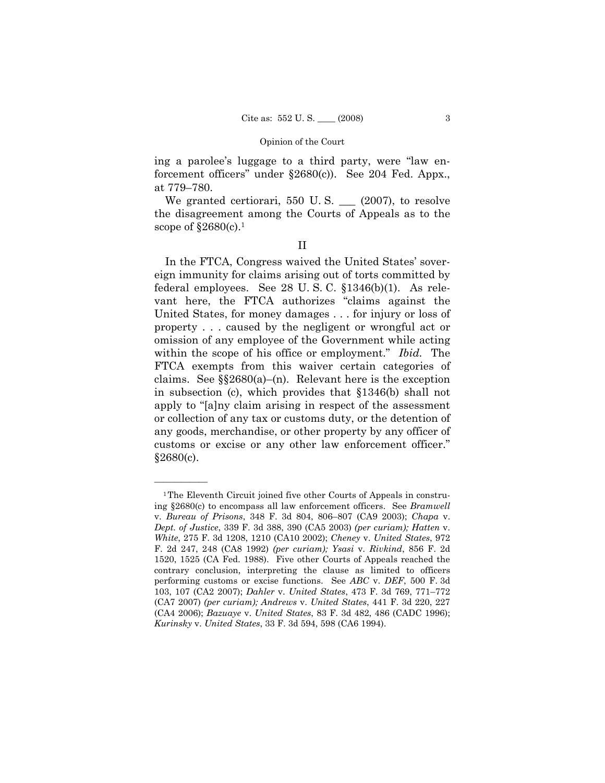ing a parolee's luggage to a third party, were "law enforcement officers" under §2680(c)). See 204 Fed. Appx., at 779–780.

We granted certiorari, 550 U.S.  $\_\_$  (2007), to resolve the disagreement among the Courts of Appeals as to the scope of  $\S 2680(c)$ .<sup>1</sup>

| u, |  |
|----|--|
|    |  |
|    |  |

 In the FTCA, Congress waived the United States' sovereign immunity for claims arising out of torts committed by federal employees. See 28 U. S. C. §1346(b)(1). As relevant here, the FTCA authorizes "claims against the United States, for money damages . . . for injury or loss of property . . . caused by the negligent or wrongful act or omission of any employee of the Government while acting within the scope of his office or employment." *Ibid.* The FTCA exempts from this waiver certain categories of claims. See  $\S$  $2680(a)$ –(n). Relevant here is the exception in subsection (c), which provides that §1346(b) shall not apply to "[a]ny claim arising in respect of the assessment or collection of any tax or customs duty, or the detention of any goods, merchandise, or other property by any officer of customs or excise or any other law enforcement officer." §2680(c).

<sup>&</sup>lt;sup>1</sup>The Eleventh Circuit joined five other Courts of Appeals in construing §2680(c) to encompass all law enforcement officers. See *Bramwell* v. *Bureau of Prisons*, 348 F. 3d 804, 806–807 (CA9 2003); *Chapa* v. *Dept. of Justice*, 339 F. 3d 388, 390 (CA5 2003) *(per curiam); Hatten* v. *White*, 275 F. 3d 1208, 1210 (CA10 2002); *Cheney* v. *United States*, 972 F. 2d 247, 248 (CA8 1992) *(per curiam); Ysasi* v. *Rivkind*, 856 F. 2d 1520, 1525 (CA Fed. 1988). Five other Courts of Appeals reached the contrary conclusion, interpreting the clause as limited to officers performing customs or excise functions. See *ABC* v. *DEF*, 500 F. 3d 103, 107 (CA2 2007); *Dahler* v. *United States*, 473 F. 3d 769, 771–772 (CA7 2007) *(per curiam); Andrews* v. *United States*, 441 F. 3d 220, 227 (CA4 2006); *Bazuaye* v. *United States*, 83 F. 3d 482, 486 (CADC 1996); *Kurinsky* v. *United States*, 33 F. 3d 594, 598 (CA6 1994).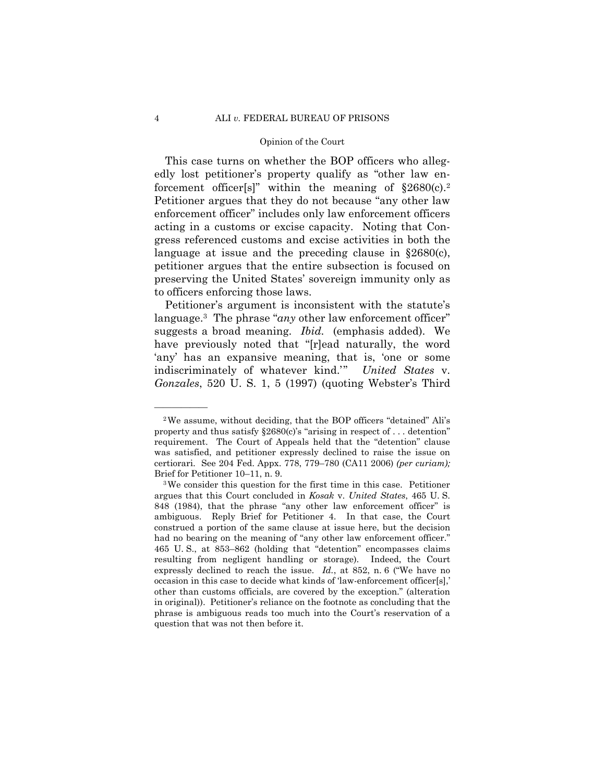This case turns on whether the BOP officers who allegedly lost petitioner's property qualify as "other law enforcement officer[s]" within the meaning of  $\S2680(c).^2$ Petitioner argues that they do not because "any other law enforcement officer" includes only law enforcement officers acting in a customs or excise capacity. Noting that Congress referenced customs and excise activities in both the language at issue and the preceding clause in §2680(c), petitioner argues that the entire subsection is focused on preserving the United States' sovereign immunity only as to officers enforcing those laws.

 Petitioner's argument is inconsistent with the statute's language.<sup>3</sup> The phrase "*any* other law enforcement officer" suggests a broad meaning. *Ibid.* (emphasis added). We have previously noted that "[r]ead naturally, the word 'any' has an expansive meaning, that is, 'one or some indiscriminately of whatever kind.'" *United States* v. *Gonzales*, 520 U. S. 1, 5 (1997) (quoting Webster's Third

<sup>2</sup>We assume, without deciding, that the BOP officers "detained" Ali's property and thus satisfy  $\S 2680(c)$ 's "arising in respect of ... detention" requirement. The Court of Appeals held that the "detention" clause was satisfied, and petitioner expressly declined to raise the issue on certiorari. See 204 Fed. Appx. 778, 779–780 (CA11 2006) *(per curiam);* 

Brief for Petitioner 10–11, n. 9.  $3$  We consider this question for the first time in this case. Petitioner argues that this Court concluded in *Kosak* v. *United States*, 465 U. S. 848 (1984), that the phrase "any other law enforcement officer" is ambiguous. Reply Brief for Petitioner 4. In that case, the Court construed a portion of the same clause at issue here, but the decision had no bearing on the meaning of "any other law enforcement officer." 465 U. S., at 853–862 (holding that "detention" encompasses claims resulting from negligent handling or storage). Indeed, the Court expressly declined to reach the issue. *Id.*, at 852, n. 6 ("We have no occasion in this case to decide what kinds of 'law-enforcement officer[s],' other than customs officials, are covered by the exception." (alteration in original)). Petitioner's reliance on the footnote as concluding that the phrase is ambiguous reads too much into the Court's reservation of a question that was not then before it.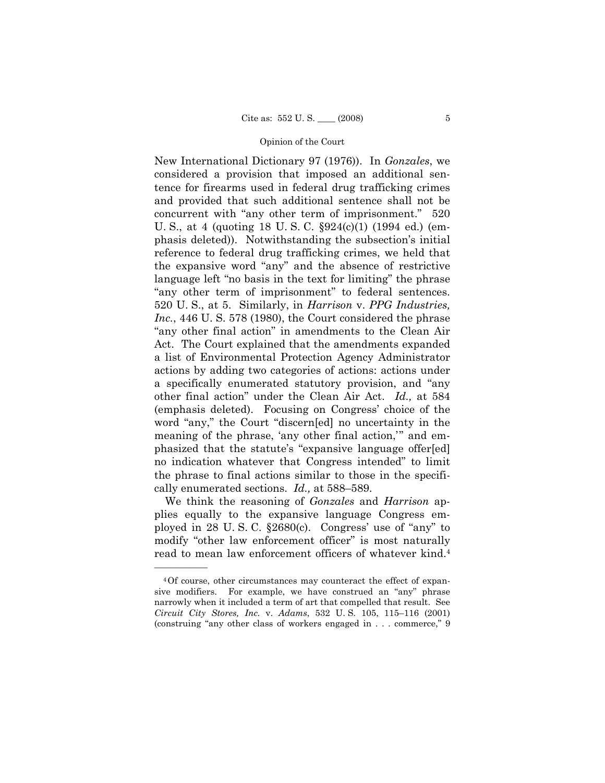New International Dictionary 97 (1976)). In *Gonzales*, we considered a provision that imposed an additional sentence for firearms used in federal drug trafficking crimes and provided that such additional sentence shall not be concurrent with "any other term of imprisonment." 520 U. S., at 4 (quoting 18 U. S. C. §924(c)(1) (1994 ed.) (emphasis deleted)). Notwithstanding the subsection's initial reference to federal drug trafficking crimes, we held that the expansive word "any" and the absence of restrictive language left "no basis in the text for limiting" the phrase "any other term of imprisonment" to federal sentences. 520 U. S., at 5. Similarly, in *Harrison* v. *PPG Industries, Inc.*, 446 U. S. 578 (1980), the Court considered the phrase "any other final action" in amendments to the Clean Air Act. The Court explained that the amendments expanded a list of Environmental Protection Agency Administrator actions by adding two categories of actions: actions under a specifically enumerated statutory provision, and "any other final action" under the Clean Air Act. *Id.,* at 584 (emphasis deleted). Focusing on Congress' choice of the word "any," the Court "discern[ed] no uncertainty in the meaning of the phrase, 'any other final action,'" and emphasized that the statute's "expansive language offer[ed] no indication whatever that Congress intended" to limit the phrase to final actions similar to those in the specifically enumerated sections. *Id.,* at 588–589.

 We think the reasoning of *Gonzales* and *Harrison* applies equally to the expansive language Congress employed in 28 U. S. C. §2680(c). Congress' use of "any" to modify "other law enforcement officer" is most naturally read to mean law enforcement officers of whatever kind.4

<sup>4</sup>Of course, other circumstances may counteract the effect of expansive modifiers. For example, we have construed an "any" phrase narrowly when it included a term of art that compelled that result. See *Circuit City Stores, Inc.* v. *Adams*, 532 U. S. 105, 115–116 (2001) (construing "any other class of workers engaged in . . . commerce," 9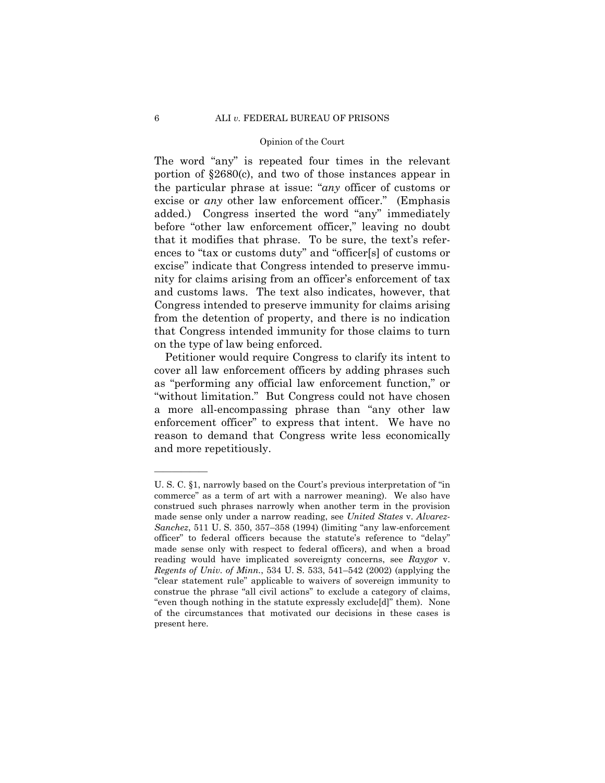The word "any" is repeated four times in the relevant portion of §2680(c), and two of those instances appear in the particular phrase at issue: "*any* officer of customs or excise or *any* other law enforcement officer." (Emphasis added.) Congress inserted the word "any" immediately before "other law enforcement officer," leaving no doubt that it modifies that phrase. To be sure, the text's references to "tax or customs duty" and "officer[s] of customs or excise" indicate that Congress intended to preserve immunity for claims arising from an officer's enforcement of tax and customs laws. The text also indicates, however, that Congress intended to preserve immunity for claims arising from the detention of property, and there is no indication that Congress intended immunity for those claims to turn on the type of law being enforced.

 Petitioner would require Congress to clarify its intent to cover all law enforcement officers by adding phrases such as "performing any official law enforcement function," or "without limitation." But Congress could not have chosen a more all-encompassing phrase than "any other law enforcement officer" to express that intent. We have no reason to demand that Congress write less economically and more repetitiously.

U. S. C. §1, narrowly based on the Court's previous interpretation of "in commerce" as a term of art with a narrower meaning). We also have construed such phrases narrowly when another term in the provision made sense only under a narrow reading, see *United States* v. *Alvarez-Sanchez*, 511 U. S. 350, 357–358 (1994) (limiting "any law-enforcement officer" to federal officers because the statute's reference to "delay" made sense only with respect to federal officers), and when a broad reading would have implicated sovereignty concerns, see *Raygor* v. *Regents of Univ. of Minn.*, 534 U. S. 533, 541–542 (2002) (applying the "clear statement rule" applicable to waivers of sovereign immunity to construe the phrase "all civil actions" to exclude a category of claims, "even though nothing in the statute expressly exclude[d]" them). None of the circumstances that motivated our decisions in these cases is present here.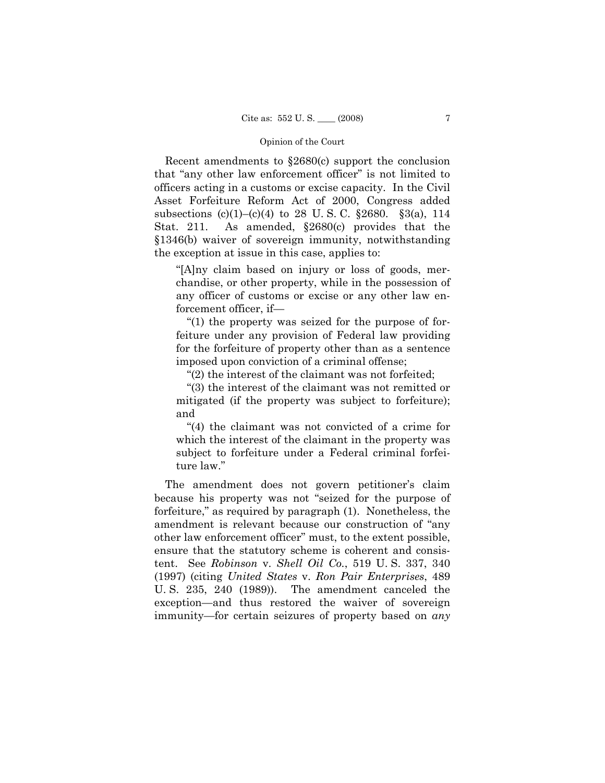Recent amendments to §2680(c) support the conclusion that "any other law enforcement officer" is not limited to officers acting in a customs or excise capacity. In the Civil Asset Forfeiture Reform Act of 2000, Congress added subsections (c)(1)–(c)(4) to 28 U. S. C. §2680. §3(a), 114 Stat. 211. As amended, §2680(c) provides that the §1346(b) waiver of sovereign immunity, notwithstanding the exception at issue in this case, applies to:

"[A]ny claim based on injury or loss of goods, merchandise, or other property, while in the possession of any officer of customs or excise or any other law enforcement officer, if—

 "(1) the property was seized for the purpose of forfeiture under any provision of Federal law providing for the forfeiture of property other than as a sentence imposed upon conviction of a criminal offense;

"(2) the interest of the claimant was not forfeited;

 "(3) the interest of the claimant was not remitted or mitigated (if the property was subject to forfeiture); and

 "(4) the claimant was not convicted of a crime for which the interest of the claimant in the property was subject to forfeiture under a Federal criminal forfeiture law."

 The amendment does not govern petitioner's claim because his property was not "seized for the purpose of forfeiture," as required by paragraph (1). Nonetheless, the amendment is relevant because our construction of "any other law enforcement officer" must, to the extent possible, ensure that the statutory scheme is coherent and consistent. See *Robinson* v. *Shell Oil Co.*, 519 U. S. 337, 340 (1997) (citing *United States* v. *Ron Pair Enterprises*, 489 U. S. 235, 240 (1989)). The amendment canceled the exception—and thus restored the waiver of sovereign immunity—for certain seizures of property based on *any*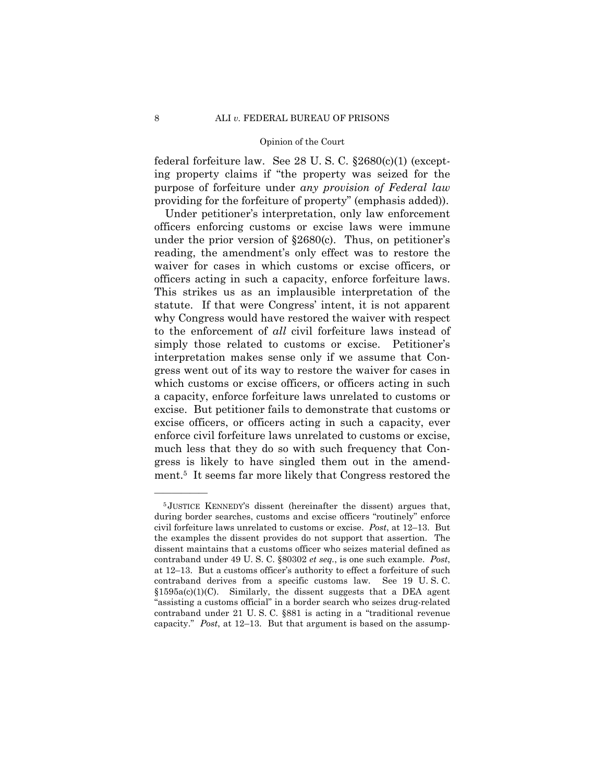federal forfeiture law. See 28 U. S. C. §2680(c)(1) (excepting property claims if "the property was seized for the purpose of forfeiture under *any provision of Federal law* providing for the forfeiture of property" (emphasis added)).

 Under petitioner's interpretation, only law enforcement officers enforcing customs or excise laws were immune under the prior version of  $\S 2680(c)$ . Thus, on petitioner's reading, the amendment's only effect was to restore the waiver for cases in which customs or excise officers, or officers acting in such a capacity, enforce forfeiture laws. This strikes us as an implausible interpretation of the statute. If that were Congress' intent, it is not apparent why Congress would have restored the waiver with respect to the enforcement of *all* civil forfeiture laws instead of simply those related to customs or excise. Petitioner's interpretation makes sense only if we assume that Congress went out of its way to restore the waiver for cases in which customs or excise officers, or officers acting in such a capacity, enforce forfeiture laws unrelated to customs or excise. But petitioner fails to demonstrate that customs or excise officers, or officers acting in such a capacity, ever enforce civil forfeiture laws unrelated to customs or excise, much less that they do so with such frequency that Congress is likely to have singled them out in the amendment.5 It seems far more likely that Congress restored the

<sup>5</sup> JUSTICE KENNEDY'S dissent (hereinafter the dissent) argues that, during border searches, customs and excise officers "routinely" enforce civil forfeiture laws unrelated to customs or excise. *Post*, at 12–13. But the examples the dissent provides do not support that assertion. The dissent maintains that a customs officer who seizes material defined as contraband under 49 U. S. C. §80302 *et seq.*, is one such example. *Post*, at 12–13. But a customs officer's authority to effect a forfeiture of such contraband derives from a specific customs law. See 19 U. S. C.  $$1595a(c)(1)(C)$ . Similarly, the dissent suggests that a DEA agent "assisting a customs official" in a border search who seizes drug-related contraband under 21 U. S. C. §881 is acting in a "traditional revenue capacity." *Post*, at 12–13. But that argument is based on the assump-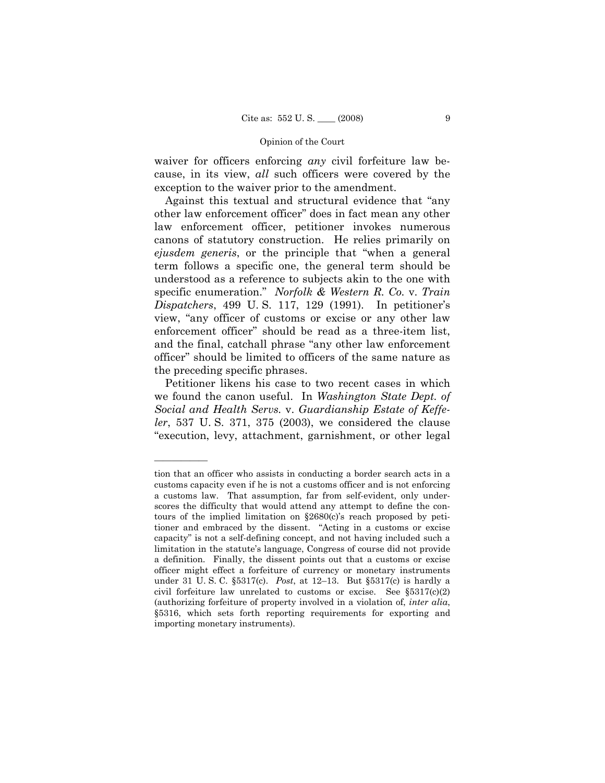waiver for officers enforcing *any* civil forfeiture law because, in its view, *all* such officers were covered by the exception to the waiver prior to the amendment.

 Against this textual and structural evidence that "any other law enforcement officer" does in fact mean any other law enforcement officer, petitioner invokes numerous canons of statutory construction. He relies primarily on *ejusdem generis*, or the principle that "when a general term follows a specific one, the general term should be understood as a reference to subjects akin to the one with specific enumeration." *Norfolk & Western R. Co.* v. *Train Dispatchers*, 499 U. S. 117, 129 (1991). In petitioner's view, "any officer of customs or excise or any other law enforcement officer" should be read as a three-item list, and the final, catchall phrase "any other law enforcement officer" should be limited to officers of the same nature as the preceding specific phrases.

 Petitioner likens his case to two recent cases in which we found the canon useful. In *Washington State Dept. of Social and Health Servs.* v. *Guardianship Estate of Keffeler*, 537 U. S. 371, 375 (2003), we considered the clause "execution, levy, attachment, garnishment, or other legal

tion that an officer who assists in conducting a border search acts in a customs capacity even if he is not a customs officer and is not enforcing a customs law. That assumption, far from self-evident, only underscores the difficulty that would attend any attempt to define the contours of the implied limitation on §2680(c)'s reach proposed by petitioner and embraced by the dissent. "Acting in a customs or excise capacity" is not a self-defining concept, and not having included such a limitation in the statute's language, Congress of course did not provide a definition. Finally, the dissent points out that a customs or excise officer might effect a forfeiture of currency or monetary instruments under 31 U. S. C. §5317(c). *Post*, at 12–13.But §5317(c) is hardly a civil forfeiture law unrelated to customs or excise. See §5317(c)(2) (authorizing forfeiture of property involved in a violation of, *inter alia*, §5316, which sets forth reporting requirements for exporting and importing monetary instruments).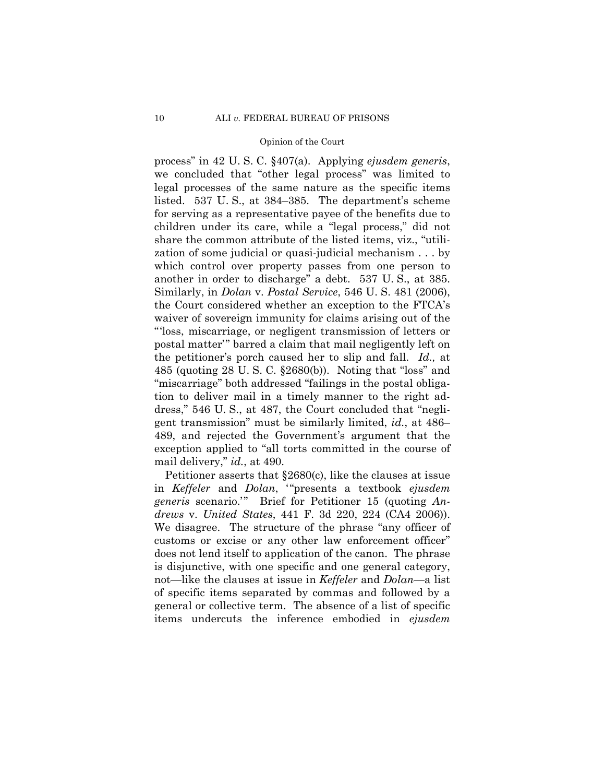process" in 42 U. S. C. §407(a). Applying *ejusdem generis*, we concluded that "other legal process" was limited to legal processes of the same nature as the specific items listed. 537 U. S., at 384–385. The department's scheme for serving as a representative payee of the benefits due to children under its care, while a "legal process," did not share the common attribute of the listed items, viz., "utilization of some judicial or quasi-judicial mechanism . . . by which control over property passes from one person to another in order to discharge" a debt. 537 U. S., at 385. Similarly, in *Dolan* v. *Postal Service*, 546 U. S. 481 (2006), the Court considered whether an exception to the FTCA's waiver of sovereign immunity for claims arising out of the "'loss, miscarriage, or negligent transmission of letters or postal matter'" barred a claim that mail negligently left on the petitioner's porch caused her to slip and fall. *Id.,* at 485 (quoting 28 U. S. C. §2680(b)). Noting that "loss" and "miscarriage" both addressed "failings in the postal obligation to deliver mail in a timely manner to the right address," 546 U. S., at 487, the Court concluded that "negligent transmission" must be similarly limited, *id.*, at 486– 489, and rejected the Government's argument that the exception applied to "all torts committed in the course of mail delivery," *id.*, at 490.

 Petitioner asserts that §2680(c), like the clauses at issue in *Keffeler* and *Dolan*, '"presents a textbook *ejusdem generis* scenario.'" Brief for Petitioner 15 (quoting *Andrews* v. *United States*, 441 F. 3d 220, 224 (CA4 2006)). We disagree. The structure of the phrase "any officer of customs or excise or any other law enforcement officer" does not lend itself to application of the canon. The phrase is disjunctive, with one specific and one general category, not—like the clauses at issue in *Keffeler* and *Dolan*—a list of specific items separated by commas and followed by a general or collective term. The absence of a list of specific items undercuts the inference embodied in *ejusdem*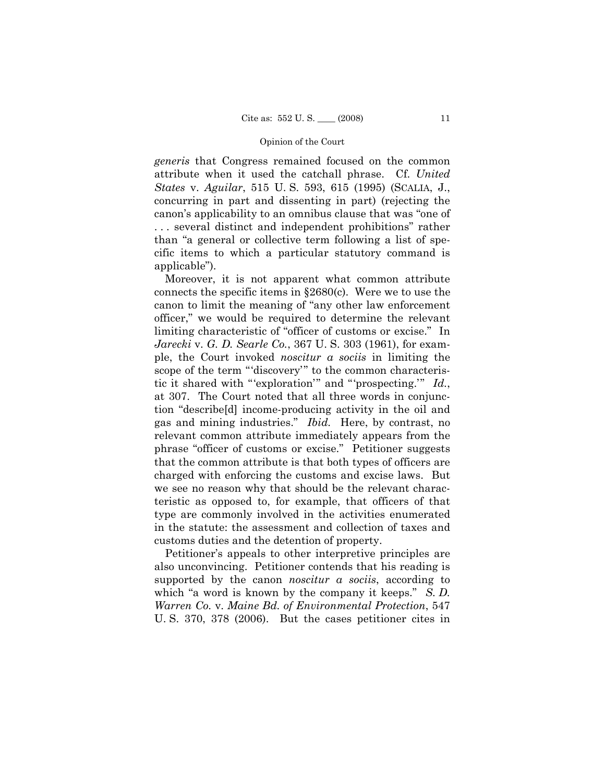*generis* that Congress remained focused on the common attribute when it used the catchall phrase. Cf. *United States* v. *Aguilar*, 515 U. S. 593, 615 (1995) (SCALIA, J., concurring in part and dissenting in part) (rejecting the canon's applicability to an omnibus clause that was "one of . . . several distinct and independent prohibitions" rather than "a general or collective term following a list of specific items to which a particular statutory command is applicable").

 Moreover, it is not apparent what common attribute connects the specific items in §2680(c). Were we to use the canon to limit the meaning of "any other law enforcement officer," we would be required to determine the relevant limiting characteristic of "officer of customs or excise." In *Jarecki* v. *G. D. Searle Co.*, 367 U. S. 303 (1961), for example, the Court invoked *noscitur a sociis* in limiting the scope of the term "'discovery'" to the common characteristic it shared with "'exploration'" and "'prospecting.'" *Id.*, at 307. The Court noted that all three words in conjunction "describe[d] income-producing activity in the oil and gas and mining industries." *Ibid.* Here, by contrast, no relevant common attribute immediately appears from the phrase "officer of customs or excise." Petitioner suggests that the common attribute is that both types of officers are charged with enforcing the customs and excise laws. But we see no reason why that should be the relevant characteristic as opposed to, for example, that officers of that type are commonly involved in the activities enumerated in the statute: the assessment and collection of taxes and customs duties and the detention of property.

 Petitioner's appeals to other interpretive principles are also unconvincing. Petitioner contends that his reading is supported by the canon *noscitur a sociis*, according to which "a word is known by the company it keeps." *S. D. Warren Co.* v. *Maine Bd. of Environmental Protection*, 547 U. S. 370, 378 (2006). But the cases petitioner cites in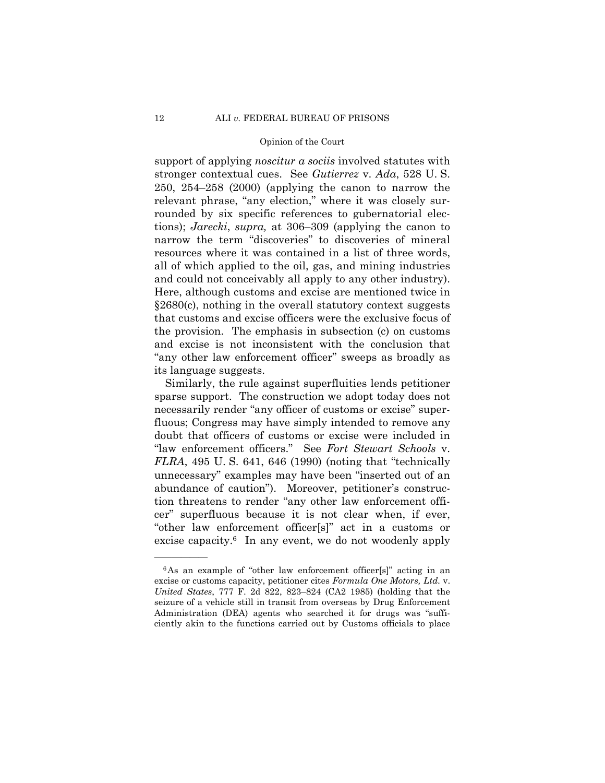support of applying *noscitur a sociis* involved statutes with stronger contextual cues. See *Gutierrez* v. *Ada*, 528 U. S. 250, 254–258 (2000) (applying the canon to narrow the relevant phrase, "any election," where it was closely surrounded by six specific references to gubernatorial elections); *Jarecki*, *supra,* at 306–309 (applying the canon to narrow the term "discoveries" to discoveries of mineral resources where it was contained in a list of three words, all of which applied to the oil, gas, and mining industries and could not conceivably all apply to any other industry). Here, although customs and excise are mentioned twice in §2680(c), nothing in the overall statutory context suggests that customs and excise officers were the exclusive focus of the provision. The emphasis in subsection (c) on customs and excise is not inconsistent with the conclusion that "any other law enforcement officer" sweeps as broadly as its language suggests.

 Similarly, the rule against superfluities lends petitioner sparse support. The construction we adopt today does not necessarily render "any officer of customs or excise" superfluous; Congress may have simply intended to remove any doubt that officers of customs or excise were included in "law enforcement officers." See *Fort Stewart Schools* v. *FLRA*, 495 U. S. 641, 646 (1990) (noting that "technically unnecessary" examples may have been "inserted out of an abundance of caution"). Moreover, petitioner's construction threatens to render "any other law enforcement officer" superfluous because it is not clear when, if ever, "other law enforcement officer[s]" act in a customs or excise capacity.6 In any event, we do not woodenly apply

<sup>&</sup>lt;sup>6</sup>As an example of "other law enforcement officer[s]" acting in an excise or customs capacity, petitioner cites *Formula One Motors, Ltd.* v. *United States*, 777 F. 2d 822, 823–824 (CA2 1985) (holding that the seizure of a vehicle still in transit from overseas by Drug Enforcement Administration (DEA) agents who searched it for drugs was "sufficiently akin to the functions carried out by Customs officials to place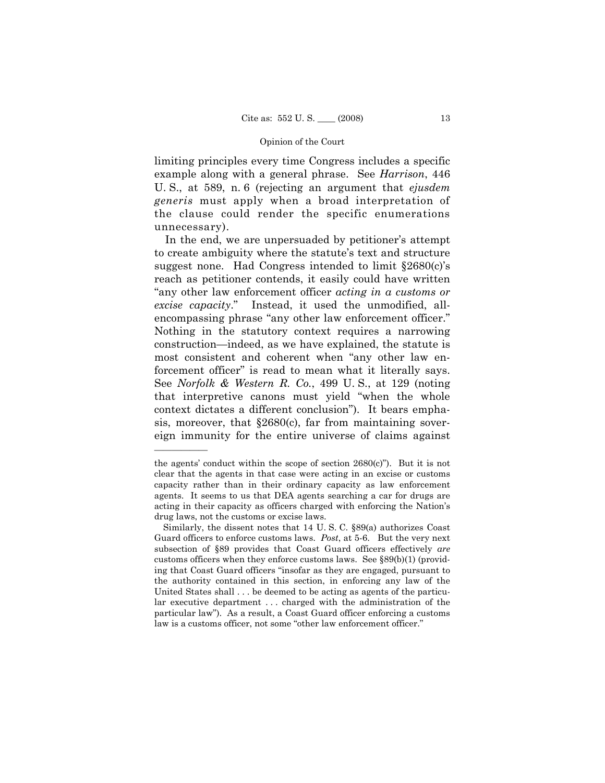limiting principles every time Congress includes a specific example along with a general phrase. See *Harrison*, 446 U. S., at 589, n. 6 (rejecting an argument that *ejusdem generis* must apply when a broad interpretation of the clause could render the specific enumerations unnecessary).

 In the end, we are unpersuaded by petitioner's attempt to create ambiguity where the statute's text and structure suggest none. Had Congress intended to limit §2680(c)'s reach as petitioner contends, it easily could have written "any other law enforcement officer *acting in a customs or excise capacity*." Instead, it used the unmodified, allencompassing phrase "any other law enforcement officer." Nothing in the statutory context requires a narrowing construction—indeed, as we have explained, the statute is most consistent and coherent when "any other law enforcement officer" is read to mean what it literally says. See *Norfolk & Western R. Co.*, 499 U. S., at 129 (noting that interpretive canons must yield "when the whole context dictates a different conclusion"). It bears emphasis, moreover, that §2680(c), far from maintaining sovereign immunity for the entire universe of claims against

the agents' conduct within the scope of section  $2680(c)$ "). But it is not clear that the agents in that case were acting in an excise or customs capacity rather than in their ordinary capacity as law enforcement agents. It seems to us that DEA agents searching a car for drugs are acting in their capacity as officers charged with enforcing the Nation's drug laws, not the customs or excise laws.

Similarly, the dissent notes that 14 U. S. C. §89(a) authorizes Coast Guard officers to enforce customs laws. *Post*, at 5-6. But the very next subsection of §89 provides that Coast Guard officers effectively *are* customs officers when they enforce customs laws. See §89(b)(1) (providing that Coast Guard officers "insofar as they are engaged, pursuant to the authority contained in this section, in enforcing any law of the United States shall . . . be deemed to be acting as agents of the particular executive department . . . charged with the administration of the particular law"). As a result, a Coast Guard officer enforcing a customs law is a customs officer, not some "other law enforcement officer."